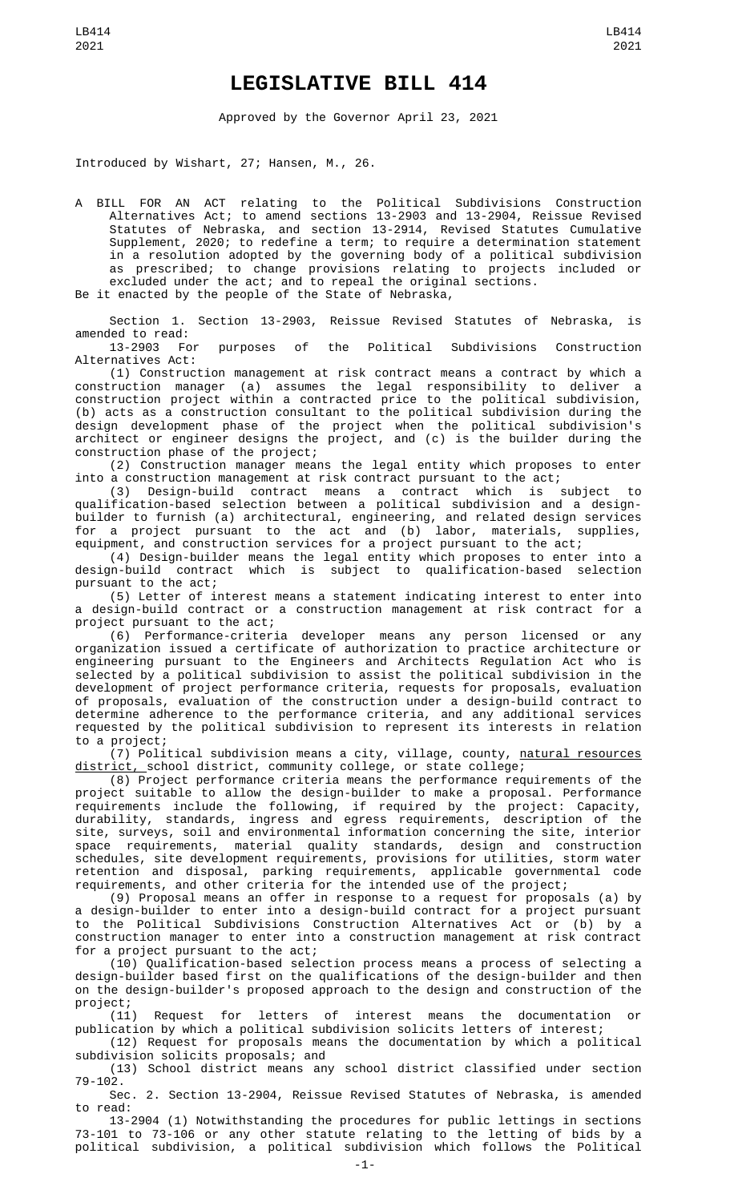## **LEGISLATIVE BILL 414**

Approved by the Governor April 23, 2021

Introduced by Wishart, 27; Hansen, M., 26.

A BILL FOR AN ACT relating to the Political Subdivisions Construction Alternatives Act; to amend sections 13-2903 and 13-2904, Reissue Revised Statutes of Nebraska, and section 13-2914, Revised Statutes Cumulative Supplement, 2020; to redefine a term; to require a determination statement in a resolution adopted by the governing body of a political subdivision as prescribed; to change provisions relating to projects included or excluded under the act; and to repeal the original sections.

Be it enacted by the people of the State of Nebraska,

Section 1. Section 13-2903, Reissue Revised Statutes of Nebraska, is amended to read:

13-2903 For purposes of the Political Subdivisions Construction Alternatives Act:

(1) Construction management at risk contract means a contract by which a construction manager (a) assumes the legal responsibility to deliver a construction project within a contracted price to the political subdivision, (b) acts as a construction consultant to the political subdivision during the design development phase of the project when the political subdivision's architect or engineer designs the project, and (c) is the builder during the construction phase of the project;

(2) Construction manager means the legal entity which proposes to enter into a construction management at risk contract pursuant to the act;

(3) Design-build contract means a contract which is subject to qualification-based selection between a political subdivision and a designbuilder to furnish (a) architectural, engineering, and related design services for a project pursuant to the act and (b) labor, materials, supplies, equipment, and construction services for a project pursuant to the act;

(4) Design-builder means the legal entity which proposes to enter into a design-build contract which is subject to qualification-based selection pursuant to the act;

(5) Letter of interest means a statement indicating interest to enter into a design-build contract or a construction management at risk contract for a project pursuant to the act;

(6) Performance-criteria developer means any person licensed or any organization issued a certificate of authorization to practice architecture or engineering pursuant to the Engineers and Architects Regulation Act who is selected by a political subdivision to assist the political subdivision in the development of project performance criteria, requests for proposals, evaluation of proposals, evaluation of the construction under a design-build contract to determine adherence to the performance criteria, and any additional services requested by the political subdivision to represent its interests in relation to a project;

(7) Political subdivision means a city, village, county, natural resources district, school district, community college, or state college;

(8) Project performance criteria means the performance requirements of the project suitable to allow the design-builder to make a proposal. Performance requirements include the following, if required by the project: Capacity, durability, standards, ingress and egress requirements, description of the site, surveys, soil and environmental information concerning the site, interior space requirements, material quality standards, design and construction schedules, site development requirements, provisions for utilities, storm water retention and disposal, parking requirements, applicable governmental code requirements, and other criteria for the intended use of the project;

(9) Proposal means an offer in response to a request for proposals (a) by a design-builder to enter into a design-build contract for a project pursuant to the Political Subdivisions Construction Alternatives Act or (b) by a construction manager to enter into a construction management at risk contract for a project pursuant to the act;

(10) Qualification-based selection process means a process of selecting a design-builder based first on the qualifications of the design-builder and then on the design-builder's proposed approach to the design and construction of the project;

(11) Request for letters of interest means the documentation or publication by which a political subdivision solicits letters of interest;

(12) Request for proposals means the documentation by which a political subdivision solicits proposals; and

(13) School district means any school district classified under section 79-102.

Sec. 2. Section 13-2904, Reissue Revised Statutes of Nebraska, is amended to read:

13-2904 (1) Notwithstanding the procedures for public lettings in sections 73-101 to 73-106 or any other statute relating to the letting of bids by a political subdivision, a political subdivision which follows the Political